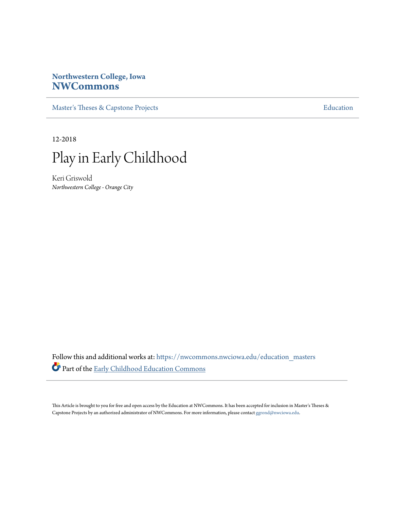# **Northwestern College, Iowa [NWCommons](https://nwcommons.nwciowa.edu?utm_source=nwcommons.nwciowa.edu%2Feducation_masters%2F96&utm_medium=PDF&utm_campaign=PDFCoverPages)**

[Master's Theses & Capstone Projects](https://nwcommons.nwciowa.edu/education_masters?utm_source=nwcommons.nwciowa.edu%2Feducation_masters%2F96&utm_medium=PDF&utm_campaign=PDFCoverPages) **[Education](https://nwcommons.nwciowa.edu/education?utm_source=nwcommons.nwciowa.edu%2Feducation_masters%2F96&utm_medium=PDF&utm_campaign=PDFCoverPages)** 

12-2018



Keri Griswold *Northwestern College - Orange City*

Follow this and additional works at: [https://nwcommons.nwciowa.edu/education\\_masters](https://nwcommons.nwciowa.edu/education_masters?utm_source=nwcommons.nwciowa.edu%2Feducation_masters%2F96&utm_medium=PDF&utm_campaign=PDFCoverPages) Part of the [Early Childhood Education Commons](http://network.bepress.com/hgg/discipline/1377?utm_source=nwcommons.nwciowa.edu%2Feducation_masters%2F96&utm_medium=PDF&utm_campaign=PDFCoverPages)

This Article is brought to you for free and open access by the Education at NWCommons. It has been accepted for inclusion in Master's Theses & Capstone Projects by an authorized administrator of NWCommons. For more information, please contact [ggrond@nwciowa.edu.](mailto:ggrond@nwciowa.edu)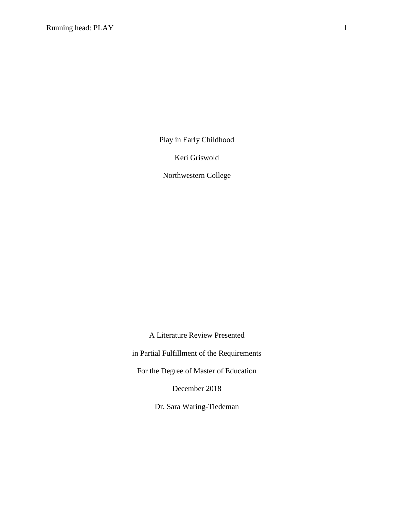Play in Early Childhood

Keri Griswold

Northwestern College

A Literature Review Presented in Partial Fulfillment of the Requirements For the Degree of Master of Education December 2018

Dr. Sara Waring-Tiedeman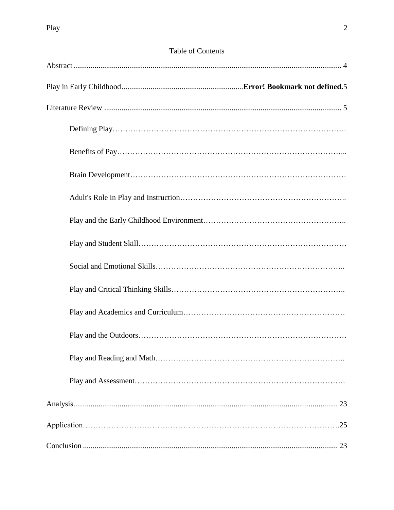# Table of Contents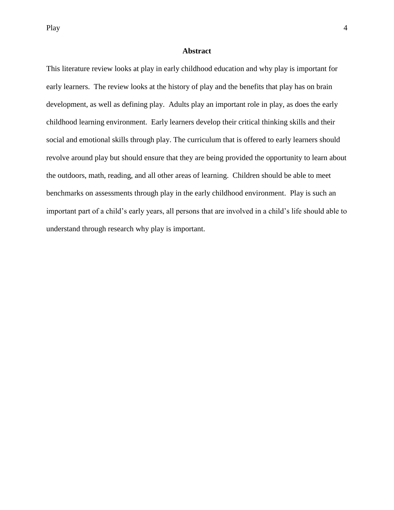Play and the set of the set of the set of the set of the set of the set of the set of the set of the set of the set of the set of the set of the set of the set of the set of the set of the set of the set of the set of the

# **Abstract**

<span id="page-4-0"></span>This literature review looks at play in early childhood education and why play is important for early learners. The review looks at the history of play and the benefits that play has on brain development, as well as defining play. Adults play an important role in play, as does the early childhood learning environment. Early learners develop their critical thinking skills and their social and emotional skills through play. The curriculum that is offered to early learners should revolve around play but should ensure that they are being provided the opportunity to learn about the outdoors, math, reading, and all other areas of learning. Children should be able to meet benchmarks on assessments through play in the early childhood environment. Play is such an important part of a child's early years, all persons that are involved in a child's life should able to understand through research why play is important.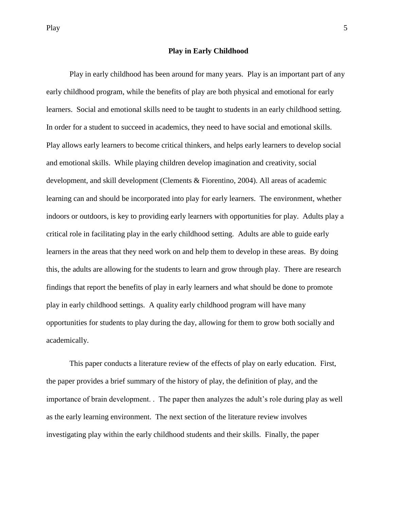## **Play in Early Childhood**

Play in early childhood has been around for many years. Play is an important part of any early childhood program, while the benefits of play are both physical and emotional for early learners. Social and emotional skills need to be taught to students in an early childhood setting. In order for a student to succeed in academics, they need to have social and emotional skills. Play allows early learners to become critical thinkers, and helps early learners to develop social and emotional skills. While playing children develop imagination and creativity, social development, and skill development (Clements & Fiorentino, 2004). All areas of academic learning can and should be incorporated into play for early learners. The environment, whether indoors or outdoors, is key to providing early learners with opportunities for play. Adults play a critical role in facilitating play in the early childhood setting. Adults are able to guide early learners in the areas that they need work on and help them to develop in these areas. By doing this, the adults are allowing for the students to learn and grow through play. There are research findings that report the benefits of play in early learners and what should be done to promote play in early childhood settings. A quality early childhood program will have many opportunities for students to play during the day, allowing for them to grow both socially and academically.

This paper conducts a literature review of the effects of play on early education. First, the paper provides a brief summary of the history of play, the definition of play, and the importance of brain development. . The paper then analyzes the adult's role during play as well as the early learning environment. The next section of the literature review involves investigating play within the early childhood students and their skills. Finally, the paper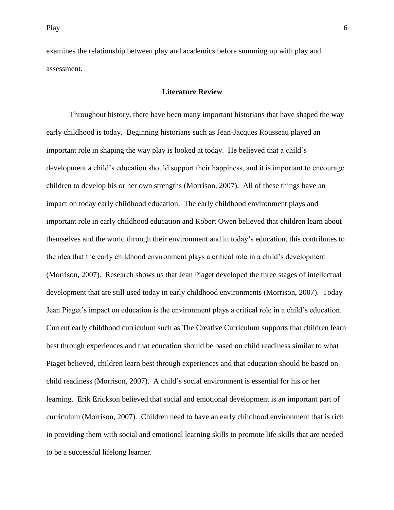examines the relationship between play and academics before summing up with play and assessment.

### **Literature Review**

Throughout history, there have been many important historians that have shaped the way early childhood is today. Beginning historians such as Jean-Jacques Rousseau played an important role in shaping the way play is looked at today. He believed that a child's development a child's education should support their happiness, and it is important to encourage children to develop his or her own strengths (Morrison, 2007). All of these things have an impact on today early childhood education. The early childhood environment plays and important role in early childhood education and Robert Owen believed that children learn about themselves and the world through their environment and in today's education, this contributes to the idea that the early childhood environment plays a critical role in a child's development (Morrison, 2007). Research shows us that Jean Piaget developed the three stages of intellectual development that are still used today in early childhood environments (Morrison, 2007). Today Jean Piaget's impact on education is the environment plays a critical role in a child's education. Current early childhood curriculum such as The Creative Curriculum supports that children learn best through experiences and that education should be based on child readiness similar to what Piaget believed, children learn best through experiences and that education should be based on child readiness (Morrison, 2007). A child's social environment is essential for his or her learning. Erik Erickson believed that social and emotional development is an important part of curriculum (Morrison, 2007). Children need to have an early childhood environment that is rich in providing them with social and emotional learning skills to promote life skills that are needed to be a successful lifelong learner.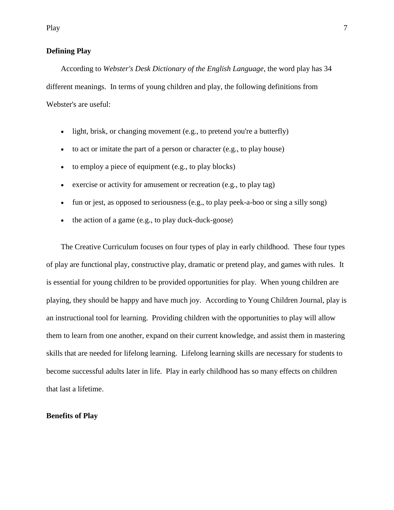# **Defining Play**

According to *Webster's Desk Dictionary of the English Language*, the word play has 34 different meanings. In terms of young children and play, the following definitions from Webster's are useful:

- light, brisk, or changing movement (e.g., to pretend you're a butterfly)
- to act or imitate the part of a person or character (e.g., to play house)
- to employ a piece of equipment (e.g., to play blocks)
- exercise or activity for amusement or recreation (e.g., to play tag)
- fun or jest, as opposed to seriousness (e.g., to play peek-a-boo or sing a silly song)
- the action of a game  $(e.g., to play duck-duck-goose)$

The Creative Curriculum focuses on four types of play in early childhood. These four types of play are functional play, constructive play, dramatic or pretend play, and games with rules. It is essential for young children to be provided opportunities for play. When young children are playing, they should be happy and have much joy. According to Young Children Journal, play is an instructional tool for learning. Providing children with the opportunities to play will allow them to learn from one another, expand on their current knowledge, and assist them in mastering skills that are needed for lifelong learning. Lifelong learning skills are necessary for students to become successful adults later in life. Play in early childhood has so many effects on children that last a lifetime.

# **Benefits of Play**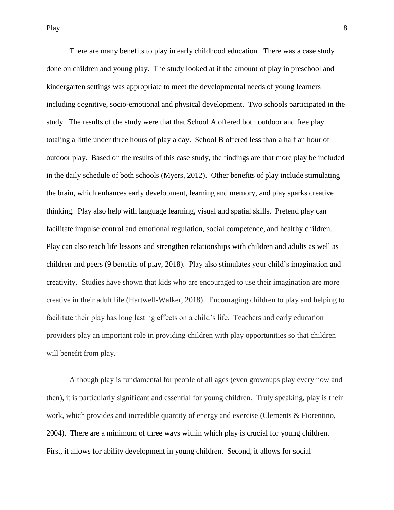There are many benefits to play in early childhood education. There was a case study done on children and young play. The study looked at if the amount of play in preschool and kindergarten settings was appropriate to meet the developmental needs of young learners including cognitive, socio-emotional and physical development. Two schools participated in the study. The results of the study were that that School A offered both outdoor and free play totaling a little under three hours of play a day. School B offered less than a half an hour of outdoor play. Based on the results of this case study, the findings are that more play be included in the daily schedule of both schools (Myers, 2012). Other benefits of play include stimulating the brain, which enhances early development, learning and memory, and play sparks creative thinking. Play also help with language learning, visual and spatial skills. Pretend play can facilitate impulse control and emotional regulation, social competence, and healthy children. Play can also teach life lessons and strengthen relationships with children and adults as well as children and peers (9 benefits of play, 2018). Play also stimulates your child's imagination and creativity. Studies have shown that kids who are encouraged to use their imagination are more creative in their adult life (Hartwell-Walker, 2018). Encouraging children to play and helping to facilitate their play has long lasting effects on a child's life. Teachers and early education providers play an important role in providing children with play opportunities so that children will benefit from play.

Although play is fundamental for people of all ages (even grownups play every now and then), it is particularly significant and essential for young children. Truly speaking, play is their work, which provides and incredible quantity of energy and exercise (Clements & Fiorentino, 2004). There are a minimum of three ways within which play is crucial for young children. First, it allows for ability development in young children. Second, it allows for social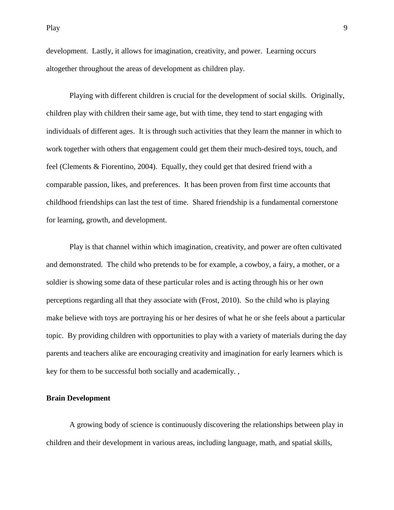Play 9

development. Lastly, it allows for imagination, creativity, and power. Learning occurs altogether throughout the areas of development as children play.

Playing with different children is crucial for the development of social skills. Originally, children play with children their same age, but with time, they tend to start engaging with individuals of different ages. It is through such activities that they learn the manner in which to work together with others that engagement could get them their much-desired toys, touch, and feel (Clements & Fiorentino, 2004). Equally, they could get that desired friend with a comparable passion, likes, and preferences. It has been proven from first time accounts that childhood friendships can last the test of time. Shared friendship is a fundamental cornerstone for learning, growth, and development.

Play is that channel within which imagination, creativity, and power are often cultivated and demonstrated. The child who pretends to be for example, a cowboy, a fairy, a mother, or a soldier is showing some data of these particular roles and is acting through his or her own perceptions regarding all that they associate with (Frost, 2010). So the child who is playing make believe with toys are portraying his or her desires of what he or she feels about a particular topic. By providing children with opportunities to play with a variety of materials during the day parents and teachers alike are encouraging creativity and imagination for early learners which is key for them to be successful both socially and academically. ,

# **Brain Development**

A growing body of science is continuously discovering the relationships between play in children and their development in various areas, including language, math, and spatial skills,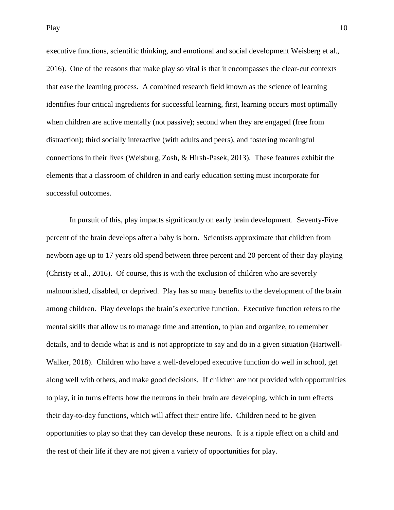executive functions, scientific thinking, and emotional and social development Weisberg et al., 2016). One of the reasons that make play so vital is that it encompasses the clear-cut contexts that ease the learning process. A combined research field known as the science of learning identifies four critical ingredients for successful learning, first, learning occurs most optimally when children are active mentally (not passive); second when they are engaged (free from distraction); third socially interactive (with adults and peers), and fostering meaningful connections in their lives (Weisburg, Zosh, & Hirsh-Pasek, 2013). These features exhibit the elements that a classroom of children in and early education setting must incorporate for successful outcomes.

In pursuit of this, play impacts significantly on early brain development. Seventy-Five percent of the brain develops after a baby is born. Scientists approximate that children from newborn age up to 17 years old spend between three percent and 20 percent of their day playing (Christy et al., 2016). Of course, this is with the exclusion of children who are severely malnourished, disabled, or deprived. Play has so many benefits to the development of the brain among children. Play develops the brain's executive function.Executive function refers to the mental skills that allow us to manage time and attention, to plan and organize, to remember details, and to decide what is and is not appropriate to say and do in a given situation (Hartwell-Walker, 2018). Children who have a well-developed executive function do well in school, get along well with others, and make good decisions. If children are not provided with opportunities to play, it in turns effects how the neurons in their brain are developing, which in turn effects their day-to-day functions, which will affect their entire life. Children need to be given opportunities to play so that they can develop these neurons. It is a ripple effect on a child and the rest of their life if they are not given a variety of opportunities for play.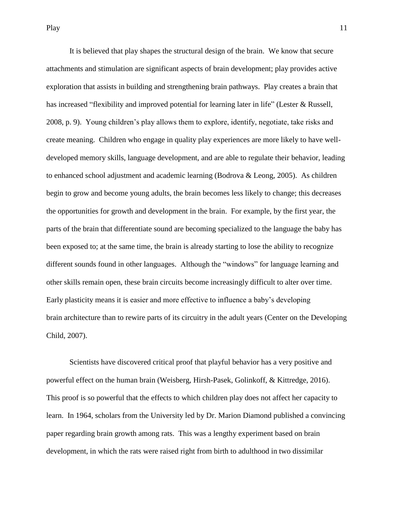It is believed that play shapes the structural design of the brain. We know that secure attachments and stimulation are significant aspects of brain development; play provides active exploration that assists in building and strengthening brain pathways. Play creates a brain that has increased "flexibility and improved potential for learning later in life" (Lester & Russell, 2008, p. 9). Young children's play allows them to explore, identify, negotiate, take risks and create meaning. Children who engage in quality play experiences are more likely to have welldeveloped memory skills, language development, and are able to regulate their behavior, leading to enhanced school adjustment and academic learning (Bodrova & Leong, 2005). As children begin to grow and become young adults, the brain becomes less likely to change; this decreases the opportunities for growth and development in the brain. For example, by the first year, the parts of the brain that differentiate sound are becoming specialized to the language the baby has been exposed to; at the same time, the brain is already starting to lose the ability to recognize different sounds found in other languages. Although the "windows" for language learning and other skills remain open, these brain circuits become increasingly difficult to alter over time. Early plasticity means it is easier and more effective to influence a baby's developing brain architecture than to rewire parts of its circuitry in the adult years (Center on the Developing Child, 2007).

Scientists have discovered critical proof that playful behavior has a very positive and powerful effect on the human brain (Weisberg, Hirsh-Pasek, Golinkoff, & Kittredge, 2016). This proof is so powerful that the effects to which children play does not affect her capacity to learn. In 1964, scholars from the University led by Dr. Marion Diamond published a convincing paper regarding brain growth among rats. This was a lengthy experiment based on brain development, in which the rats were raised right from birth to adulthood in two dissimilar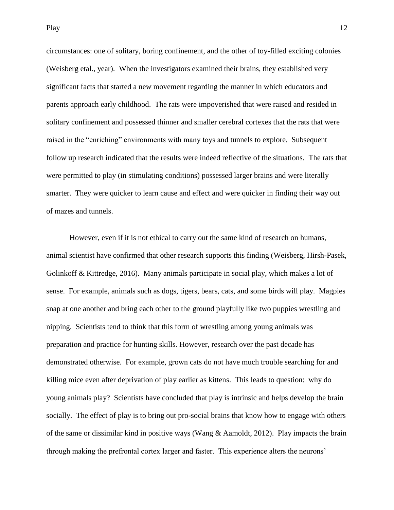circumstances: one of solitary, boring confinement, and the other of toy-filled exciting colonies (Weisberg etal., year). When the investigators examined their brains, they established very significant facts that started a new movement regarding the manner in which educators and parents approach early childhood. The rats were impoverished that were raised and resided in solitary confinement and possessed thinner and smaller cerebral cortexes that the rats that were raised in the "enriching" environments with many toys and tunnels to explore. Subsequent follow up research indicated that the results were indeed reflective of the situations. The rats that were permitted to play (in stimulating conditions) possessed larger brains and were literally smarter. They were quicker to learn cause and effect and were quicker in finding their way out of mazes and tunnels.

However, even if it is not ethical to carry out the same kind of research on humans, animal scientist have confirmed that other research supports this finding (Weisberg, Hirsh-Pasek, Golinkoff & Kittredge, 2016). Many animals participate in social play, which makes a lot of sense. For example, animals such as dogs, tigers, bears, cats, and some birds will play. Magpies snap at one another and bring each other to the ground playfully like two puppies wrestling and nipping. Scientists tend to think that this form of wrestling among young animals was preparation and practice for hunting skills. However, research over the past decade has demonstrated otherwise. For example, grown cats do not have much trouble searching for and killing mice even after deprivation of play earlier as kittens. This leads to question: why do young animals play? Scientists have concluded that play is intrinsic and helps develop the brain socially. The effect of play is to bring out pro-social brains that know how to engage with others of the same or dissimilar kind in positive ways (Wang  $\&$  Aamoldt, 2012). Play impacts the brain through making the prefrontal cortex larger and faster. This experience alters the neurons'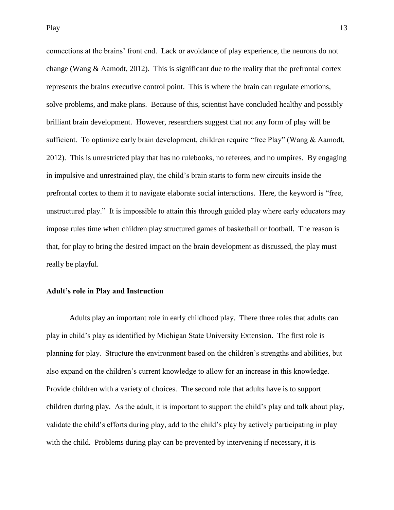connections at the brains' front end. Lack or avoidance of play experience, the neurons do not change (Wang  $\&$  Aamodt, 2012). This is significant due to the reality that the prefrontal cortex represents the brains executive control point. This is where the brain can regulate emotions, solve problems, and make plans. Because of this, scientist have concluded healthy and possibly brilliant brain development. However, researchers suggest that not any form of play will be sufficient. To optimize early brain development, children require "free Play" (Wang & Aamodt, 2012). This is unrestricted play that has no rulebooks, no referees, and no umpires. By engaging in impulsive and unrestrained play, the child's brain starts to form new circuits inside the prefrontal cortex to them it to navigate elaborate social interactions. Here, the keyword is "free, unstructured play." It is impossible to attain this through guided play where early educators may impose rules time when children play structured games of basketball or football. The reason is that, for play to bring the desired impact on the brain development as discussed, the play must really be playful.

### <span id="page-13-0"></span>**Adult's role in Play and Instruction**

Adults play an important role in early childhood play. There three roles that adults can play in child's play as identified by Michigan State University Extension. The first role is planning for play. Structure the environment based on the children's strengths and abilities, but also expand on the children's current knowledge to allow for an increase in this knowledge. Provide children with a variety of choices. The second role that adults have is to support children during play. As the adult, it is important to support the child's play and talk about play, validate the child's efforts during play, add to the child's play by actively participating in play with the child. Problems during play can be prevented by intervening if necessary, it is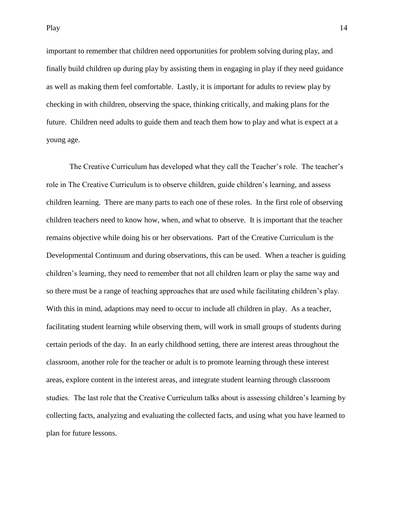Play and the set of the set of the set of the set of the set of the set of the set of the set of the set of the set of the set of the set of the set of the set of the set of the set of the set of the set of the set of the

important to remember that children need opportunities for problem solving during play, and finally build children up during play by assisting them in engaging in play if they need guidance as well as making them feel comfortable. Lastly, it is important for adults to review play by checking in with children, observing the space, thinking critically, and making plans for the future. Children need adults to guide them and teach them how to play and what is expect at a young age.

The Creative Curriculum has developed what they call the Teacher's role. The teacher's role in The Creative Curriculum is to observe children, guide children's learning, and assess children learning. There are many parts to each one of these roles. In the first role of observing children teachers need to know how, when, and what to observe. It is important that the teacher remains objective while doing his or her observations. Part of the Creative Curriculum is the Developmental Continuum and during observations, this can be used. When a teacher is guiding children's learning, they need to remember that not all children learn or play the same way and so there must be a range of teaching approaches that are used while facilitating children's play. With this in mind, adaptions may need to occur to include all children in play. As a teacher, facilitating student learning while observing them, will work in small groups of students during certain periods of the day. In an early childhood setting, there are interest areas throughout the classroom, another role for the teacher or adult is to promote learning through these interest areas, explore content in the interest areas, and integrate student learning through classroom studies. The last role that the Creative Curriculum talks about is assessing children's learning by collecting facts, analyzing and evaluating the collected facts, and using what you have learned to plan for future lessons.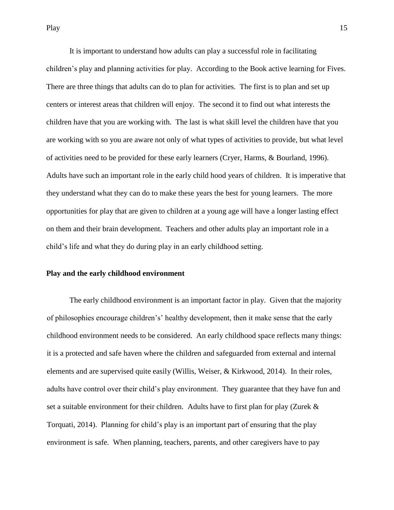It is important to understand how adults can play a successful role in facilitating children's play and planning activities for play. According to the Book active learning for Fives. There are three things that adults can do to plan for activities. The first is to plan and set up centers or interest areas that children will enjoy. The second it to find out what interests the children have that you are working with. The last is what skill level the children have that you are working with so you are aware not only of what types of activities to provide, but what level of activities need to be provided for these early learners (Cryer, Harms, & Bourland, 1996). Adults have such an important role in the early child hood years of children. It is imperative that they understand what they can do to make these years the best for young learners. The more opportunities for play that are given to children at a young age will have a longer lasting effect on them and their brain development. Teachers and other adults play an important role in a child's life and what they do during play in an early childhood setting.

#### **Play and the early childhood environment**

The early childhood environment is an important factor in play. Given that the majority of philosophies encourage children's' healthy development, then it make sense that the early childhood environment needs to be considered. An early childhood space reflects many things: it is a protected and safe haven where the children and safeguarded from external and internal elements and are supervised quite easily (Willis, Weiser, & Kirkwood, 2014). In their roles, adults have control over their child's play environment. They guarantee that they have fun and set a suitable environment for their children. Adults have to first plan for play (Zurek  $\&$ Torquati, 2014). Planning for child's play is an important part of ensuring that the play environment is safe. When planning, teachers, parents, and other caregivers have to pay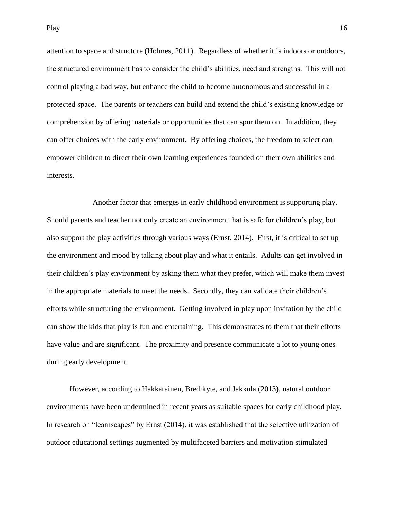Play and the property of the property of the property of the property of the property of the property of the property of the property of the property of the property of the property of the property of the property of the p

attention to space and structure (Holmes, 2011). Regardless of whether it is indoors or outdoors, the structured environment has to consider the child's abilities, need and strengths. This will not control playing a bad way, but enhance the child to become autonomous and successful in a protected space. The parents or teachers can build and extend the child's existing knowledge or comprehension by offering materials or opportunities that can spur them on. In addition, they can offer choices with the early environment. By offering choices, the freedom to select can empower children to direct their own learning experiences founded on their own abilities and interests.

Another factor that emerges in early childhood environment is supporting play. Should parents and teacher not only create an environment that is safe for children's play, but also support the play activities through various ways (Ernst, 2014). First, it is critical to set up the environment and mood by talking about play and what it entails. Adults can get involved in their children's play environment by asking them what they prefer, which will make them invest in the appropriate materials to meet the needs. Secondly, they can validate their children's efforts while structuring the environment. Getting involved in play upon invitation by the child can show the kids that play is fun and entertaining. This demonstrates to them that their efforts have value and are significant. The proximity and presence communicate a lot to young ones during early development.

However, according to Hakkarainen, Bredikyte, and Jakkula (2013), natural outdoor environments have been undermined in recent years as suitable spaces for early childhood play. In research on "learnscapes" by Ernst (2014), it was established that the selective utilization of outdoor educational settings augmented by multifaceted barriers and motivation stimulated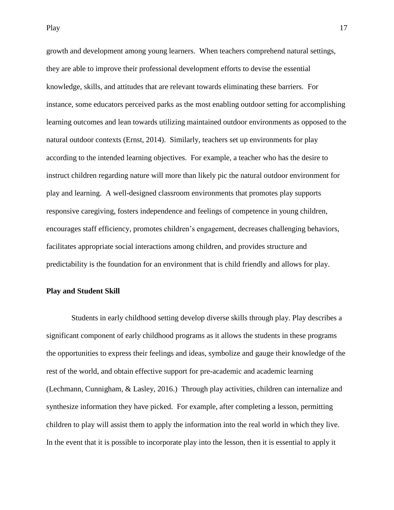growth and development among young learners. When teachers comprehend natural settings, they are able to improve their professional development efforts to devise the essential knowledge, skills, and attitudes that are relevant towards eliminating these barriers. For instance, some educators perceived parks as the most enabling outdoor setting for accomplishing learning outcomes and lean towards utilizing maintained outdoor environments as opposed to the natural outdoor contexts (Ernst, 2014). Similarly, teachers set up environments for play according to the intended learning objectives. For example, a teacher who has the desire to instruct children regarding nature will more than likely pic the natural outdoor environment for play and learning. A well-designed classroom environments that promotes play supports responsive caregiving, fosters independence and feelings of competence in young children, encourages staff efficiency, promotes children's engagement, decreases challenging behaviors, facilitates appropriate social interactions among children, and provides structure and predictability is the foundation for an environment that is child friendly and allows for play.

### **Play and Student Skill**

Students in early childhood setting develop diverse skills through play. Play describes a significant component of early childhood programs as it allows the students in these programs the opportunities to express their feelings and ideas, symbolize and gauge their knowledge of the rest of the world, and obtain effective support for pre-academic and academic learning (Lechmann, Cunnigham, & Lasley, 2016.) Through play activities, children can internalize and synthesize information they have picked. For example, after completing a lesson, permitting children to play will assist them to apply the information into the real world in which they live. In the event that it is possible to incorporate play into the lesson, then it is essential to apply it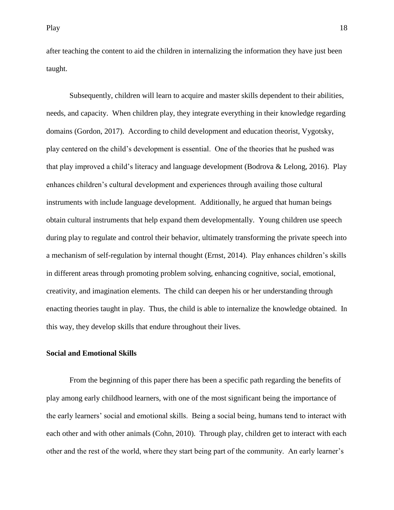after teaching the content to aid the children in internalizing the information they have just been taught.

Subsequently, children will learn to acquire and master skills dependent to their abilities, needs, and capacity. When children play, they integrate everything in their knowledge regarding domains (Gordon, 2017). According to child development and education theorist, Vygotsky, play centered on the child's development is essential. One of the theories that he pushed was that play improved a child's literacy and language development (Bodrova & Lelong, 2016). Play enhances children's cultural development and experiences through availing those cultural instruments with include language development. Additionally, he argued that human beings obtain cultural instruments that help expand them developmentally. Young children use speech during play to regulate and control their behavior, ultimately transforming the private speech into a mechanism of self-regulation by internal thought (Ernst, 2014). Play enhances children's skills in different areas through promoting problem solving, enhancing cognitive, social, emotional, creativity, and imagination elements. The child can deepen his or her understanding through enacting theories taught in play. Thus, the child is able to internalize the knowledge obtained. In this way, they develop skills that endure throughout their lives.

## **Social and Emotional Skills**

From the beginning of this paper there has been a specific path regarding the benefits of play among early childhood learners, with one of the most significant being the importance of the early learners' social and emotional skills. Being a social being, humans tend to interact with each other and with other animals (Cohn, 2010). Through play, children get to interact with each other and the rest of the world, where they start being part of the community. An early learner's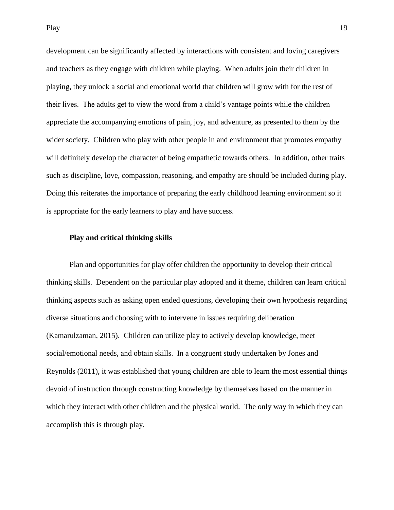development can be significantly affected by interactions with consistent and loving caregivers and teachers as they engage with children while playing. When adults join their children in playing, they unlock a social and emotional world that children will grow with for the rest of their lives. The adults get to view the word from a child's vantage points while the children appreciate the accompanying emotions of pain, joy, and adventure, as presented to them by the wider society. Children who play with other people in and environment that promotes empathy will definitely develop the character of being empathetic towards others. In addition, other traits such as discipline, love, compassion, reasoning, and empathy are should be included during play. Doing this reiterates the importance of preparing the early childhood learning environment so it is appropriate for the early learners to play and have success.

#### **Play and critical thinking skills**

Plan and opportunities for play offer children the opportunity to develop their critical thinking skills. Dependent on the particular play adopted and it theme, children can learn critical thinking aspects such as asking open ended questions, developing their own hypothesis regarding diverse situations and choosing with to intervene in issues requiring deliberation (Kamarulzaman, 2015). Children can utilize play to actively develop knowledge, meet social/emotional needs, and obtain skills. In a congruent study undertaken by Jones and Reynolds (2011), it was established that young children are able to learn the most essential things devoid of instruction through constructing knowledge by themselves based on the manner in which they interact with other children and the physical world. The only way in which they can accomplish this is through play.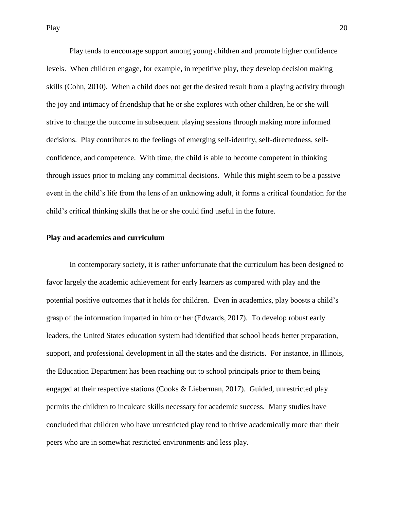Play tends to encourage support among young children and promote higher confidence levels. When children engage, for example, in repetitive play, they develop decision making skills (Cohn, 2010). When a child does not get the desired result from a playing activity through the joy and intimacy of friendship that he or she explores with other children, he or she will strive to change the outcome in subsequent playing sessions through making more informed decisions. Play contributes to the feelings of emerging self-identity, self-directedness, selfconfidence, and competence. With time, the child is able to become competent in thinking through issues prior to making any committal decisions. While this might seem to be a passive event in the child's life from the lens of an unknowing adult, it forms a critical foundation for the child's critical thinking skills that he or she could find useful in the future.

#### **Play and academics and curriculum**

In contemporary society, it is rather unfortunate that the curriculum has been designed to favor largely the academic achievement for early learners as compared with play and the potential positive outcomes that it holds for children. Even in academics, play boosts a child's grasp of the information imparted in him or her (Edwards, 2017). To develop robust early leaders, the United States education system had identified that school heads better preparation, support, and professional development in all the states and the districts. For instance, in Illinois, the Education Department has been reaching out to school principals prior to them being engaged at their respective stations (Cooks & Lieberman, 2017). Guided, unrestricted play permits the children to inculcate skills necessary for academic success. Many studies have concluded that children who have unrestricted play tend to thrive academically more than their peers who are in somewhat restricted environments and less play.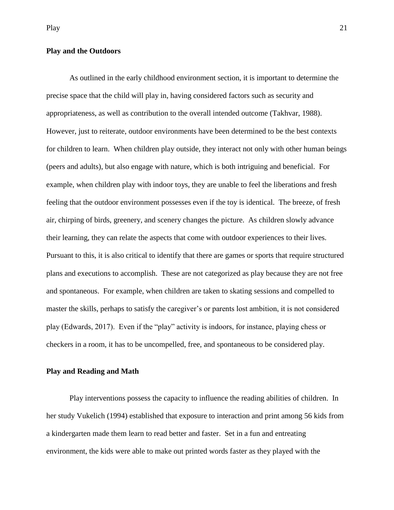# **Play and the Outdoors**

As outlined in the early childhood environment section, it is important to determine the precise space that the child will play in, having considered factors such as security and appropriateness, as well as contribution to the overall intended outcome (Takhvar, 1988). However, just to reiterate, outdoor environments have been determined to be the best contexts for children to learn. When children play outside, they interact not only with other human beings (peers and adults), but also engage with nature, which is both intriguing and beneficial. For example, when children play with indoor toys, they are unable to feel the liberations and fresh feeling that the outdoor environment possesses even if the toy is identical. The breeze, of fresh air, chirping of birds, greenery, and scenery changes the picture. As children slowly advance their learning, they can relate the aspects that come with outdoor experiences to their lives. Pursuant to this, it is also critical to identify that there are games or sports that require structured plans and executions to accomplish. These are not categorized as play because they are not free and spontaneous. For example, when children are taken to skating sessions and compelled to master the skills, perhaps to satisfy the caregiver's or parents lost ambition, it is not considered play (Edwards, 2017). Even if the "play" activity is indoors, for instance, playing chess or checkers in a room, it has to be uncompelled, free, and spontaneous to be considered play.

### **Play and Reading and Math**

Play interventions possess the capacity to influence the reading abilities of children. In her study Vukelich (1994) established that exposure to interaction and print among 56 kids from a kindergarten made them learn to read better and faster. Set in a fun and entreating environment, the kids were able to make out printed words faster as they played with the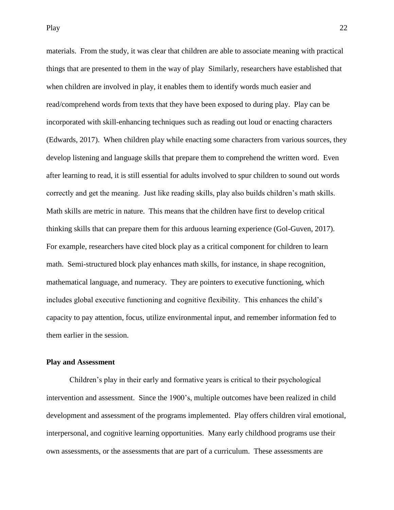materials. From the study, it was clear that children are able to associate meaning with practical things that are presented to them in the way of play Similarly, researchers have established that when children are involved in play, it enables them to identify words much easier and read/comprehend words from texts that they have been exposed to during play. Play can be incorporated with skill-enhancing techniques such as reading out loud or enacting characters (Edwards, 2017). When children play while enacting some characters from various sources, they develop listening and language skills that prepare them to comprehend the written word. Even after learning to read, it is still essential for adults involved to spur children to sound out words correctly and get the meaning. Just like reading skills, play also builds children's math skills. Math skills are metric in nature. This means that the children have first to develop critical thinking skills that can prepare them for this arduous learning experience (Gol-Guven, 2017). For example, researchers have cited block play as a critical component for children to learn math. Semi-structured block play enhances math skills, for instance, in shape recognition, mathematical language, and numeracy. They are pointers to executive functioning, which includes global executive functioning and cognitive flexibility. This enhances the child's capacity to pay attention, focus, utilize environmental input, and remember information fed to them earlier in the session.

### **Play and Assessment**

Children's play in their early and formative years is critical to their psychological intervention and assessment. Since the 1900's, multiple outcomes have been realized in child development and assessment of the programs implemented. Play offers children viral emotional, interpersonal, and cognitive learning opportunities. Many early childhood programs use their own assessments, or the assessments that are part of a curriculum. These assessments are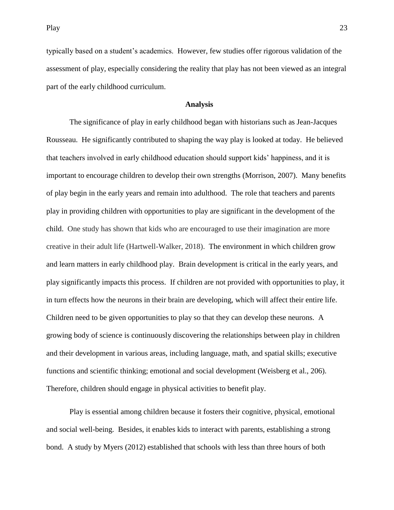Play 23

typically based on a student's academics. However, few studies offer rigorous validation of the assessment of play, especially considering the reality that play has not been viewed as an integral part of the early childhood curriculum.

## **Analysis**

<span id="page-23-0"></span>The significance of play in early childhood began with historians such as Jean-Jacques Rousseau. He significantly contributed to shaping the way play is looked at today. He believed that teachers involved in early childhood education should support kids' happiness, and it is important to encourage children to develop their own strengths (Morrison, 2007). Many benefits of play begin in the early years and remain into adulthood. The role that teachers and parents play in providing children with opportunities to play are significant in the development of the child. One study has shown that kids who are encouraged to use their imagination are more creative in their adult life (Hartwell-Walker, 2018). The environment in which children grow and learn matters in early childhood play. Brain development is critical in the early years, and play significantly impacts this process. If children are not provided with opportunities to play, it in turn effects how the neurons in their brain are developing, which will affect their entire life. Children need to be given opportunities to play so that they can develop these neurons. A growing body of science is continuously discovering the relationships between play in children and their development in various areas, including language, math, and spatial skills; executive functions and scientific thinking; emotional and social development (Weisberg et al., 206). Therefore, children should engage in physical activities to benefit play.

Play is essential among children because it fosters their cognitive, physical, emotional and social well-being. Besides, it enables kids to interact with parents, establishing a strong bond. A study by Myers (2012) established that schools with less than three hours of both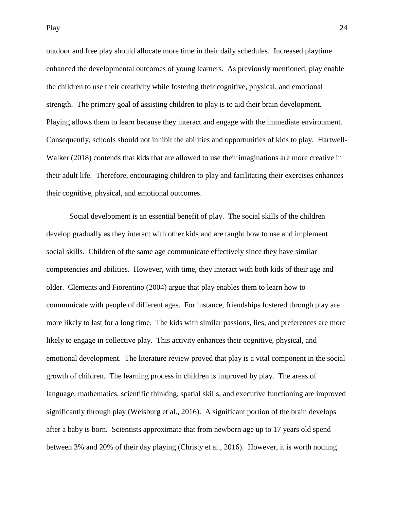Play 24

outdoor and free play should allocate more time in their daily schedules. Increased playtime enhanced the developmental outcomes of young learners. As previously mentioned, play enable the children to use their creativity while fostering their cognitive, physical, and emotional strength. The primary goal of assisting children to play is to aid their brain development. Playing allows them to learn because they interact and engage with the immediate environment. Consequently, schools should not inhibit the abilities and opportunities of kids to play. Hartwell-Walker (2018) contends that kids that are allowed to use their imaginations are more creative in their adult life. Therefore, encouraging children to play and facilitating their exercises enhances their cognitive, physical, and emotional outcomes.

Social development is an essential benefit of play. The social skills of the children develop gradually as they interact with other kids and are taught how to use and implement social skills. Children of the same age communicate effectively since they have similar competencies and abilities. However, with time, they interact with both kids of their age and older. Clements and Fiorentino (2004) argue that play enables them to learn how to communicate with people of different ages. For instance, friendships fostered through play are more likely to last for a long time. The kids with similar passions, lies, and preferences are more likely to engage in collective play. This activity enhances their cognitive, physical, and emotional development. The literature review proved that play is a vital component in the social growth of children. The learning process in children is improved by play. The areas of language, mathematics, scientific thinking, spatial skills, and executive functioning are improved significantly through play (Weisburg et al., 2016). A significant portion of the brain develops after a baby is born. Scientists approximate that from newborn age up to 17 years old spend between 3% and 20% of their day playing (Christy et al., 2016). However, it is worth nothing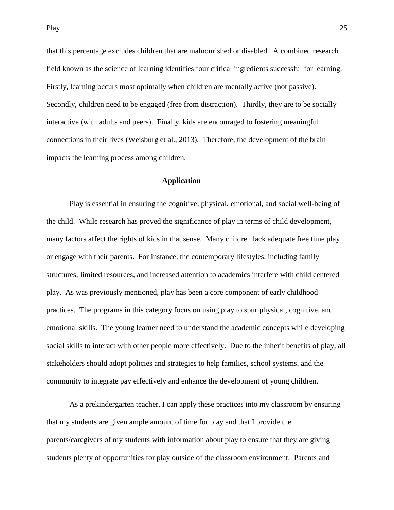that this percentage excludes children that are malnourished or disabled. A combined research field known as the science of learning identifies four critical ingredients successful for learning. Firstly, learning occurs most optimally when children are mentally active (not passive). Secondly, children need to be engaged (free from distraction). Thirdly, they are to be socially interactive (with adults and peers). Finally, kids are encouraged to fostering meaningful connections in their lives (Weisburg et al., 2013). Therefore, the development of the brain impacts the learning process among children.

# **Application**

Play is essential in ensuring the cognitive, physical, emotional, and social well-being of the child. While research has proved the significance of play in terms of child development, many factors affect the rights of kids in that sense. Many children lack adequate free time play or engage with their parents. For instance, the contemporary lifestyles, including family structures, limited resources, and increased attention to academics interfere with child centered play. As was previously mentioned, play has been a core component of early childhood practices. The programs in this category focus on using play to spur physical, cognitive, and emotional skills. The young learner need to understand the academic concepts while developing social skills to interact with other people more effectively. Due to the inherit benefits of play, all stakeholders should adopt policies and strategies to help families, school systems, and the community to integrate pay effectively and enhance the development of young children.

As a prekindergarten teacher, I can apply these practices into my classroom by ensuring that my students are given ample amount of time for play and that I provide the parents/caregivers of my students with information about play to ensure that they are giving students plenty of opportunities for play outside of the classroom environment. Parents and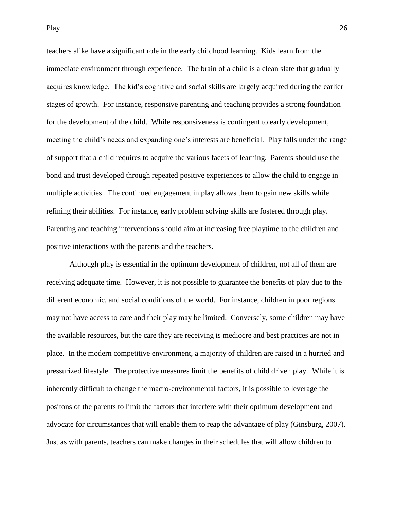teachers alike have a significant role in the early childhood learning. Kids learn from the immediate environment through experience. The brain of a child is a clean slate that gradually acquires knowledge. The kid's cognitive and social skills are largely acquired during the earlier stages of growth. For instance, responsive parenting and teaching provides a strong foundation for the development of the child. While responsiveness is contingent to early development, meeting the child's needs and expanding one's interests are beneficial. Play falls under the range of support that a child requires to acquire the various facets of learning. Parents should use the bond and trust developed through repeated positive experiences to allow the child to engage in multiple activities. The continued engagement in play allows them to gain new skills while refining their abilities. For instance, early problem solving skills are fostered through play. Parenting and teaching interventions should aim at increasing free playtime to the children and positive interactions with the parents and the teachers.

Although play is essential in the optimum development of children, not all of them are receiving adequate time. However, it is not possible to guarantee the benefits of play due to the different economic, and social conditions of the world. For instance, children in poor regions may not have access to care and their play may be limited. Conversely, some children may have the available resources, but the care they are receiving is mediocre and best practices are not in place. In the modern competitive environment, a majority of children are raised in a hurried and pressurized lifestyle. The protective measures limit the benefits of child driven play. While it is inherently difficult to change the macro-environmental factors, it is possible to leverage the positons of the parents to limit the factors that interfere with their optimum development and advocate for circumstances that will enable them to reap the advantage of play (Ginsburg, 2007). Just as with parents, teachers can make changes in their schedules that will allow children to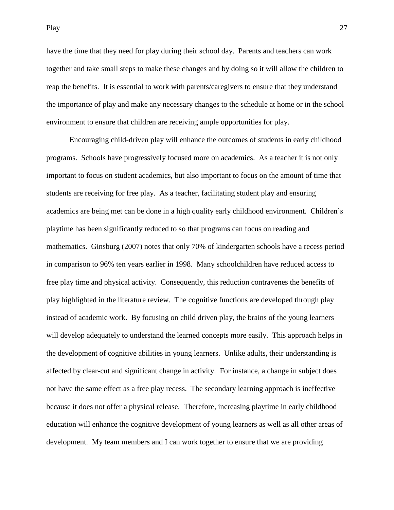Play 27

have the time that they need for play during their school day. Parents and teachers can work together and take small steps to make these changes and by doing so it will allow the children to reap the benefits. It is essential to work with parents/caregivers to ensure that they understand the importance of play and make any necessary changes to the schedule at home or in the school environment to ensure that children are receiving ample opportunities for play.

Encouraging child-driven play will enhance the outcomes of students in early childhood programs. Schools have progressively focused more on academics. As a teacher it is not only important to focus on student academics, but also important to focus on the amount of time that students are receiving for free play. As a teacher, facilitating student play and ensuring academics are being met can be done in a high quality early childhood environment. Children's playtime has been significantly reduced to so that programs can focus on reading and mathematics. Ginsburg (2007) notes that only 70% of kindergarten schools have a recess period in comparison to 96% ten years earlier in 1998. Many schoolchildren have reduced access to free play time and physical activity. Consequently, this reduction contravenes the benefits of play highlighted in the literature review. The cognitive functions are developed through play instead of academic work. By focusing on child driven play, the brains of the young learners will develop adequately to understand the learned concepts more easily. This approach helps in the development of cognitive abilities in young learners. Unlike adults, their understanding is affected by clear-cut and significant change in activity. For instance, a change in subject does not have the same effect as a free play recess. The secondary learning approach is ineffective because it does not offer a physical release. Therefore, increasing playtime in early childhood education will enhance the cognitive development of young learners as well as all other areas of development. My team members and I can work together to ensure that we are providing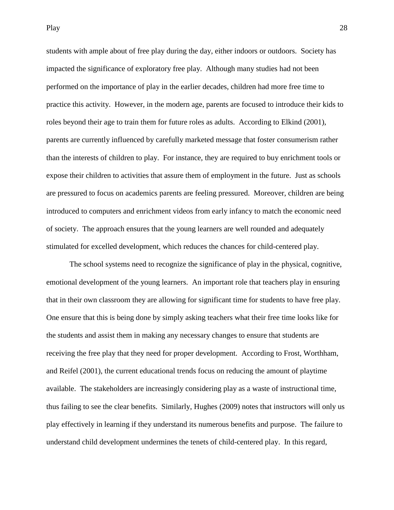students with ample about of free play during the day, either indoors or outdoors. Society has impacted the significance of exploratory free play. Although many studies had not been performed on the importance of play in the earlier decades, children had more free time to practice this activity. However, in the modern age, parents are focused to introduce their kids to roles beyond their age to train them for future roles as adults. According to Elkind (2001), parents are currently influenced by carefully marketed message that foster consumerism rather than the interests of children to play. For instance, they are required to buy enrichment tools or expose their children to activities that assure them of employment in the future. Just as schools are pressured to focus on academics parents are feeling pressured. Moreover, children are being introduced to computers and enrichment videos from early infancy to match the economic need of society. The approach ensures that the young learners are well rounded and adequately stimulated for excelled development, which reduces the chances for child-centered play.

The school systems need to recognize the significance of play in the physical, cognitive, emotional development of the young learners. An important role that teachers play in ensuring that in their own classroom they are allowing for significant time for students to have free play. One ensure that this is being done by simply asking teachers what their free time looks like for the students and assist them in making any necessary changes to ensure that students are receiving the free play that they need for proper development. According to Frost, Worthham, and Reifel (2001), the current educational trends focus on reducing the amount of playtime available. The stakeholders are increasingly considering play as a waste of instructional time, thus failing to see the clear benefits. Similarly, Hughes (2009) notes that instructors will only us play effectively in learning if they understand its numerous benefits and purpose. The failure to understand child development undermines the tenets of child-centered play. In this regard,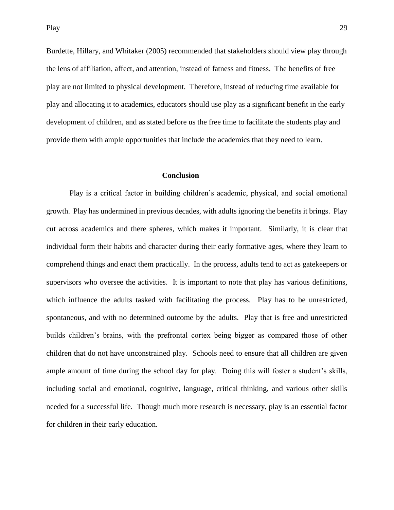Burdette, Hillary, and Whitaker (2005) recommended that stakeholders should view play through the lens of affiliation, affect, and attention, instead of fatness and fitness. The benefits of free play are not limited to physical development. Therefore, instead of reducing time available for play and allocating it to academics, educators should use play as a significant benefit in the early development of children, and as stated before us the free time to facilitate the students play and provide them with ample opportunities that include the academics that they need to learn.

#### **Conclusion**

<span id="page-29-0"></span>Play is a critical factor in building children's academic, physical, and social emotional growth. Play has undermined in previous decades, with adults ignoring the benefits it brings. Play cut across academics and there spheres, which makes it important. Similarly, it is clear that individual form their habits and character during their early formative ages, where they learn to comprehend things and enact them practically. In the process, adults tend to act as gatekeepers or supervisors who oversee the activities. It is important to note that play has various definitions, which influence the adults tasked with facilitating the process. Play has to be unrestricted, spontaneous, and with no determined outcome by the adults. Play that is free and unrestricted builds children's brains, with the prefrontal cortex being bigger as compared those of other children that do not have unconstrained play. Schools need to ensure that all children are given ample amount of time during the school day for play. Doing this will foster a student's skills, including social and emotional, cognitive, language, critical thinking, and various other skills needed for a successful life. Though much more research is necessary, play is an essential factor for children in their early education.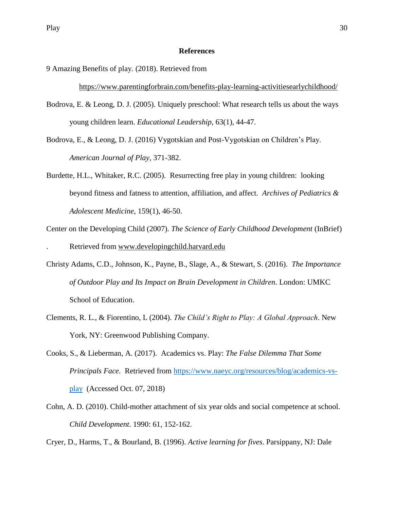## **References**

9 Amazing Benefits of play. (2018). Retrieved from

<https://www.parentingforbrain.com/benefits-play-learning-activitiesearlychildhood/>

- Bodrova, E. & Leong, D. J. (2005). Uniquely preschool: What research tells us about the ways young children learn. *Educational Leadership,* 63(1), 44-47.
- Bodrova, E., & Leong, D. J. (2016) Vygotskian and Post-Vygotskian on Children's Play. *American Journal of Play*, 371-382.
- Burdette, H.L., Whitaker, R.C. (2005). Resurrecting free play in young children: looking beyond fitness and fatness to attention, affiliation, and affect. *Archives of Pediatrics & Adolescent Medicine*, 159(1), 46-50.
- Center on the Developing Child (2007). *The Science of Early Childhood Development* (InBrief) . Retrieved from [www.developingchild.harvard.edu](http://www.developingchild.harvard.edu/)
- Christy Adams, C.D., Johnson, K., Payne, B., Slage, A., & Stewart, S. (2016). *The Importance of Outdoor Play and Its Impact on Brain Development in Children*. London: UMKC School of Education.
- Clements, R. L., & Fiorentino, L (2004). *The Child's Right to Play: A Global Approach*. New York, NY: Greenwood Publishing Company.
- Cooks, S., & Lieberman, A. (2017). Academics vs. Play: *The False Dilemma That Some Principals Face.* Retrieved from [https://www.naeyc.org/resources/blog/academics-vs](https://www.naeyc.org/resources/blog/academics-vs-play)[play](https://www.naeyc.org/resources/blog/academics-vs-play) (Accessed Oct. 07, 2018)
- Cohn, A. D. (2010). Child-mother attachment of six year olds and social competence at school. *Child Development*. 1990: 61, 152-162.

Cryer, D., Harms, T., & Bourland, B. (1996). *Active learning for fives*. Parsippany, NJ: Dale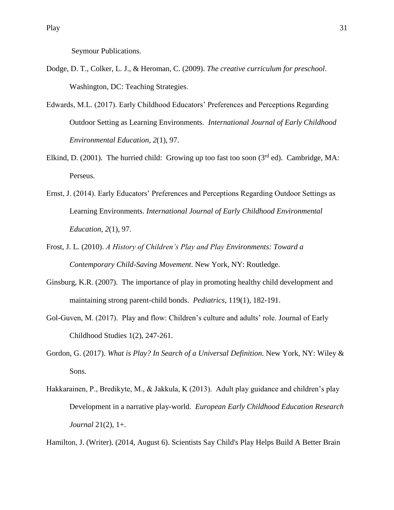Seymour Publications.

- Dodge, D. T., Colker, L. J., & Heroman, C. (2009). *The creative curriculum for preschool*. Washington, DC: Teaching Strategies.
- Edwards, M.L. (2017). Early Childhood Educators' Preferences and Perceptions Regarding Outdoor Setting as Learning Environments. *International Journal of Early Childhood Environmental Education, 2*(1), 97.
- Elkind, D. (2001). The hurried child: Growing up too fast too soon ( $3<sup>rd</sup>$  ed). Cambridge, MA: Perseus.
- Ernst, J. (2014). Early Educators' Preferences and Perceptions Regarding Outdoor Settings as Learning Environments. *International Journal of Early Childhood Environmental Education*, *2*(1), 97.
- Frost, J. L. (2010). *A History of Children's Play and Play Environments: Toward a Contemporary Child-Saving Movement*. New York, NY: Routledge.
- Ginsburg, K.R. (2007). The importance of play in promoting healthy child development and maintaining strong parent-child bonds. *Pediatrics*, 119(1), 182-191.
- Gol-Guven, M. (2017). Play and flow: Children's culture and adults' role. Journal of Early Childhood Studies 1(2), 247-261.
- Gordon, G. (2017). *What is Play? In Search of a Universal Definition*. New York, NY: Wiley & Sons.
- Hakkarainen, P., Bredikyte, M., & Jakkula, K (2013). Adult play guidance and children's play Development in a narrative play-world. *European Early Childhood Education Research Journal* 21(2), 1+.

Hamilton, J. (Writer). (2014, August 6). Scientists Say Child's Play Helps Build A Better Brain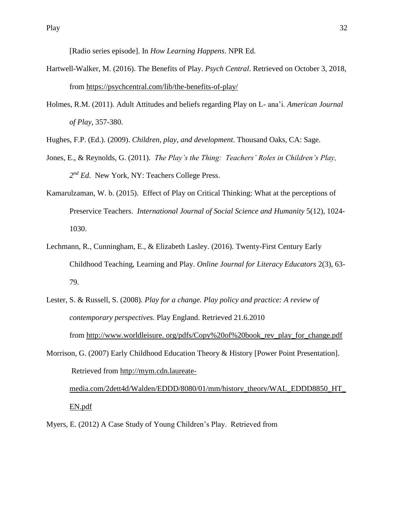[Radio series episode]. In *How Learning Happens*. NPR Ed.

- Hartwell-Walker, M. (2016). The Benefits of Play. *Psych Central*. Retrieved on October 3, 2018, from<https://psychcentral.com/lib/the-benefits-of-play/>
- Holmes, R.M. (2011). Adult Attitudes and beliefs regarding Play on L- ana'i. *American Journal of Play*, 357-380.

Hughes, F.P. (Ed.). (2009). *Children, play, and development*. Thousand Oaks, CA: Sage.

- Jones, E., & Reynolds, G. (2011). *The Play's the Thing: Teachers' Roles in Children's Play,*  2<sup>nd</sup> Ed. New York, NY: Teachers College Press.
- Kamarulzaman, W. b. (2015). Effect of Play on Critical Thinking: What at the perceptions of Preservice Teachers. *International Journal of Social Science and Humanity* 5(12), 1024- 1030.
- Lechmann, R., Cunningham, E., & Elizabeth Lasley. (2016). Twenty-First Century Early Childhood Teaching, Learning and Play. *Online Journal for Literacy Educators* 2(3), 63- 79.
- Lester, S. & Russell, S. (2008). *Play for a change. Play policy and practice: A review of contemporary perspectives.* Play England. Retrieved 21.6.2010 from http://www.worldleisure. org/pdfs/Copy%20of%20book\_rev\_play\_for\_change.pdf
- Morrison, G. (2007) Early Childhood Education Theory & History [Power Point Presentation]. Retrieved from [http://mym.cdn.laureate-](http://mym.cdn.laureate-media.com/2dett4d/Walden/EDDD/8080/01/mm/history_theory/WAL_EDDD8850_HT_EN.pdf)

[media.com/2dett4d/Walden/EDDD/8080/01/mm/history\\_theory/WAL\\_EDDD8850\\_HT\\_](http://mym.cdn.laureate-media.com/2dett4d/Walden/EDDD/8080/01/mm/history_theory/WAL_EDDD8850_HT_EN.pdf) [EN.pdf](http://mym.cdn.laureate-media.com/2dett4d/Walden/EDDD/8080/01/mm/history_theory/WAL_EDDD8850_HT_EN.pdf)

Myers, E. (2012) A Case Study of Young Children's Play. Retrieved from